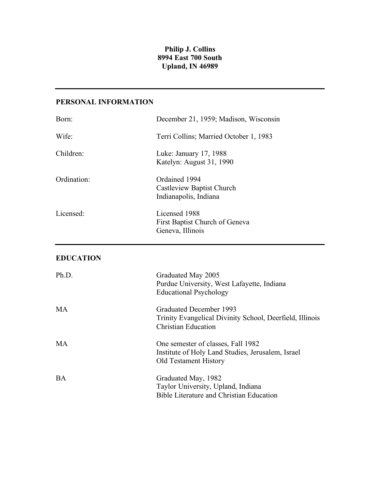## **Philip J. Collins 8994 East 700 South Upland, IN 46989**

# **PERSONAL INFORMATION**

| Born:            | December 21, 1959; Madison, Wisconsin                                                                                   |
|------------------|-------------------------------------------------------------------------------------------------------------------------|
| Wife:            | Terri Collins; Married October 1, 1983                                                                                  |
| Children:        | Luke: January 17, 1988<br>Katelyn: August 31, 1990                                                                      |
| Ordination:      | Ordained 1994<br><b>Castleview Baptist Church</b><br>Indianapolis, Indiana                                              |
| Licensed:        | Licensed 1988<br>First Baptist Church of Geneva<br>Geneva, Illinois                                                     |
| <b>EDUCATION</b> |                                                                                                                         |
| Ph.D.            | Graduated May 2005<br>Purdue University, West Lafayette, Indiana<br><b>Educational Psychology</b>                       |
| MA               | Graduated December 1993<br>Trinity Evangelical Divinity School, Deerfield, Illinois<br><b>Christian Education</b>       |
| <b>MA</b>        | One semester of classes, Fall 1982<br>Institute of Holy Land Studies, Jerusalem, Israel<br><b>Old Testament History</b> |
| <b>BA</b>        | Graduated May, 1982<br>Taylor University, Upland, Indiana                                                               |

Bible Literature and Christian Education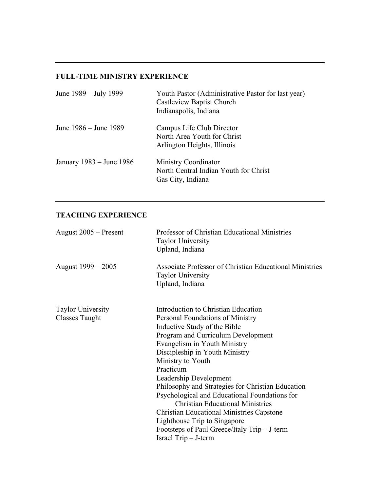## **FULL-TIME MINISTRY EXPERIENCE**

| June 1989 – July 1999    | Youth Pastor (Administrative Pastor for last year)<br><b>Castleview Baptist Church</b><br>Indianapolis, Indiana |
|--------------------------|-----------------------------------------------------------------------------------------------------------------|
| June 1986 – June 1989    | Campus Life Club Director<br>North Area Youth for Christ<br>Arlington Heights, Illinois                         |
| January 1983 – June 1986 | <b>Ministry Coordinator</b><br>North Central Indian Youth for Christ<br>Gas City, Indiana                       |

# **TEACHING EXPERIENCE**

| August 2005 – Present                             | Professor of Christian Educational Ministries<br><b>Taylor University</b><br>Upland, Indiana           |
|---------------------------------------------------|--------------------------------------------------------------------------------------------------------|
| August 1999 – 2005                                | Associate Professor of Christian Educational Ministries<br><b>Taylor University</b><br>Upland, Indiana |
| <b>Taylor University</b><br><b>Classes Taught</b> | Introduction to Christian Education<br>Personal Foundations of Ministry                                |
|                                                   | Inductive Study of the Bible                                                                           |
|                                                   | Program and Curriculum Development                                                                     |
|                                                   | Evangelism in Youth Ministry                                                                           |
|                                                   | Discipleship in Youth Ministry                                                                         |
|                                                   | Ministry to Youth                                                                                      |
|                                                   | Practicum                                                                                              |
|                                                   | Leadership Development                                                                                 |
|                                                   | Philosophy and Strategies for Christian Education                                                      |
|                                                   | Psychological and Educational Foundations for                                                          |
|                                                   | <b>Christian Educational Ministries</b>                                                                |
|                                                   | <b>Christian Educational Ministries Capstone</b>                                                       |
|                                                   | Lighthouse Trip to Singapore                                                                           |
|                                                   | Footsteps of Paul Greece/Italy Trip – J-term                                                           |
|                                                   | Israel Trip – J-term                                                                                   |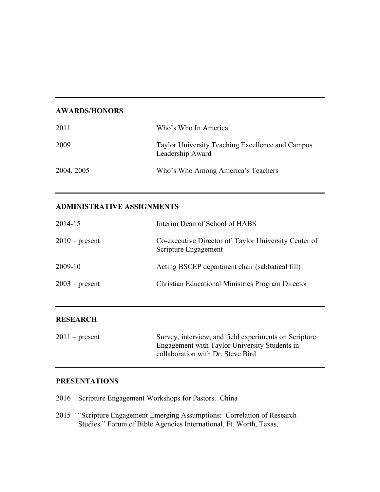### **AWARDS/HONORS**

| 2011       | Who's Who In America                                                 |
|------------|----------------------------------------------------------------------|
| 2009       | Taylor University Teaching Excellence and Campus<br>Leadership Award |
| 2004, 2005 | Who's Who Among America's Teachers                                   |

# **ADMINISTRATIVE ASSIGNMENTS**

| 2014-15          | Interim Dean of School of HABS                                               |
|------------------|------------------------------------------------------------------------------|
| $2010$ – present | Co-executive Director of Taylor University Center of<br>Scripture Engagement |
| 2009-10          | Acting BSCEP department chair (sabbatical fill)                              |
| $2003$ – present | <b>Christian Educational Ministries Program Director</b>                     |
|                  |                                                                              |

## **RESEARCH**

| $2011$ – present | Survey, interview, and field experiments on Scripture |
|------------------|-------------------------------------------------------|
|                  | Engagement with Taylor University Students in         |
|                  | collaboration with Dr. Steve Bird                     |
|                  |                                                       |

### **PRESENTATIONS**

- 2016 Scripture Engagement Workshops for Pastors. China
- 2015 "Scripture Engagement Emerging Assumptions: Correlation of Research Studies." Forum of Bible Agencies International, Ft. Worth, Texas.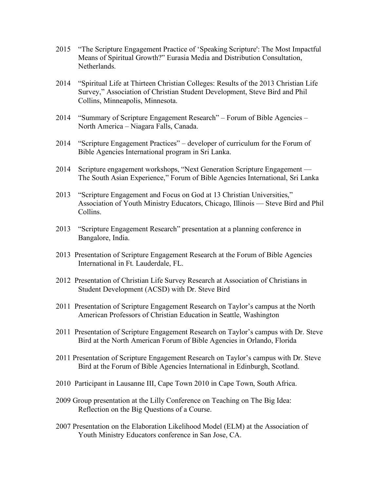- 2015 "The Scripture Engagement Practice of 'Speaking Scripture': The Most Impactful Means of Spiritual Growth?" Eurasia Media and Distribution Consultation, Netherlands.
- 2014 "Spiritual Life at Thirteen Christian Colleges: Results of the 2013 Christian Life Survey," Association of Christian Student Development, Steve Bird and Phil Collins, Minneapolis, Minnesota.
- 2014 "Summary of Scripture Engagement Research" Forum of Bible Agencies North America – Niagara Falls, Canada.
- 2014 "Scripture Engagement Practices" developer of curriculum for the Forum of Bible Agencies International program in Sri Lanka.
- 2014 Scripture engagement workshops, "Next Generation Scripture Engagement The South Asian Experience," Forum of Bible Agencies International, Sri Lanka
- 2013 "Scripture Engagement and Focus on God at 13 Christian Universities," Association of Youth Ministry Educators, Chicago, Illinois — Steve Bird and Phil Collins.
- 2013 "Scripture Engagement Research" presentation at a planning conference in Bangalore, India.
- 2013 Presentation of Scripture Engagement Research at the Forum of Bible Agencies International in Ft. Lauderdale, FL.
- 2012 Presentation of Christian Life Survey Research at Association of Christians in Student Development (ACSD) with Dr. Steve Bird
- 2011 Presentation of Scripture Engagement Research on Taylor's campus at the North American Professors of Christian Education in Seattle, Washington
- 2011 Presentation of Scripture Engagement Research on Taylor's campus with Dr. Steve Bird at the North American Forum of Bible Agencies in Orlando, Florida
- 2011 Presentation of Scripture Engagement Research on Taylor's campus with Dr. Steve Bird at the Forum of Bible Agencies International in Edinburgh, Scotland.
- 2010 Participant in Lausanne III, Cape Town 2010 in Cape Town, South Africa.
- 2009 Group presentation at the Lilly Conference on Teaching on The Big Idea: Reflection on the Big Questions of a Course.
- 2007 Presentation on the Elaboration Likelihood Model (ELM) at the Association of Youth Ministry Educators conference in San Jose, CA.